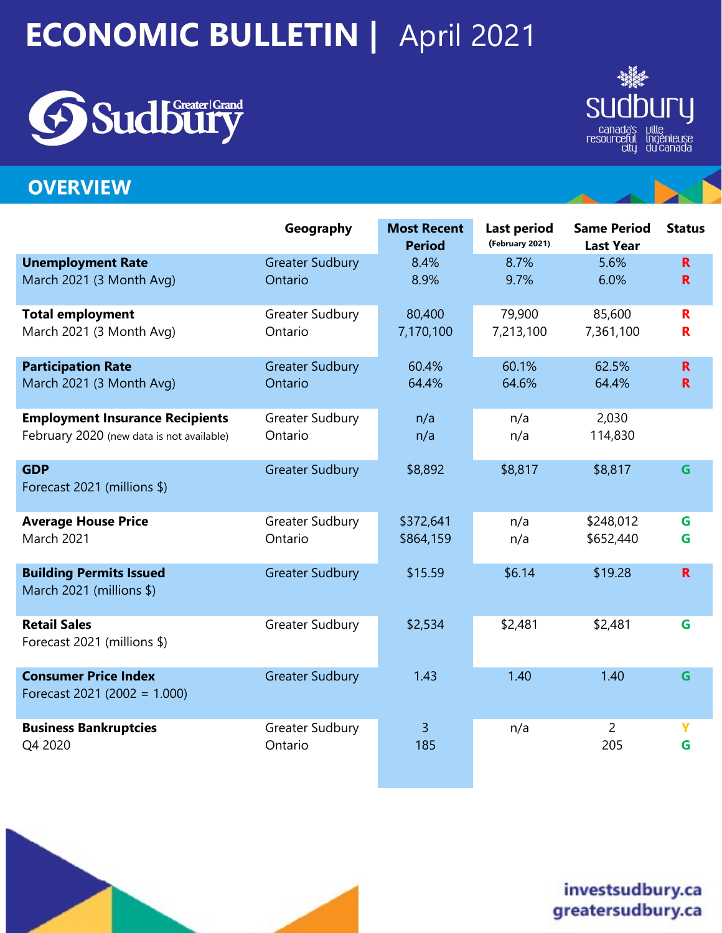# **ECONOMIC BULLETIN | April 2021**





# **OVERVIEW**

|                                                                | Geography              | <b>Most Recent</b><br><b>Period</b> | <b>Last period</b><br>(February 2021) | <b>Same Period</b><br><b>Last Year</b> | <b>Status</b> |
|----------------------------------------------------------------|------------------------|-------------------------------------|---------------------------------------|----------------------------------------|---------------|
| <b>Unemployment Rate</b>                                       | <b>Greater Sudbury</b> | 8.4%                                | 8.7%                                  | 5.6%                                   | $\mathbf R$   |
| March 2021 (3 Month Avg)                                       | Ontario                | 8.9%                                | 9.7%                                  | 6.0%                                   | $\mathbf R$   |
| <b>Total employment</b>                                        | Greater Sudbury        | 80,400                              | 79,900                                | 85,600                                 | R             |
| March 2021 (3 Month Avg)                                       | Ontario                | 7,170,100                           | 7,213,100                             | 7,361,100                              | R             |
| <b>Participation Rate</b>                                      | <b>Greater Sudbury</b> | 60.4%                               | 60.1%                                 | 62.5%                                  | R.            |
| March 2021 (3 Month Avg)                                       | Ontario                | 64.4%                               | 64.6%                                 | 64.4%                                  | $\mathbf R$   |
| <b>Employment Insurance Recipients</b>                         | Greater Sudbury        | n/a                                 | n/a                                   | 2,030                                  |               |
| February 2020 (new data is not available)                      | Ontario                | n/a                                 | n/a                                   | 114,830                                |               |
| <b>GDP</b><br>Forecast 2021 (millions \$)                      | <b>Greater Sudbury</b> | \$8,892                             | \$8,817                               | \$8,817                                | G             |
| <b>Average House Price</b>                                     | Greater Sudbury        | \$372,641                           | n/a                                   | \$248,012                              | G             |
| <b>March 2021</b>                                              | Ontario                | \$864,159                           | n/a                                   | \$652,440                              | G             |
| <b>Building Permits Issued</b><br>March 2021 (millions \$)     | <b>Greater Sudbury</b> | \$15.59                             | \$6.14                                | \$19.28                                | $\mathbf R$   |
| <b>Retail Sales</b><br>Forecast 2021 (millions \$)             | Greater Sudbury        | \$2,534                             | \$2,481                               | \$2,481                                | G             |
| <b>Consumer Price Index</b><br>Forecast 2021 (2002 = $1.000$ ) | <b>Greater Sudbury</b> | 1.43                                | 1.40                                  | 1.40                                   | G             |
| <b>Business Bankruptcies</b>                                   | Greater Sudbury        | 3                                   | n/a                                   | $\overline{2}$                         | Ÿ             |
| Q4 2020                                                        | Ontario                | 185                                 |                                       | 205                                    | G             |



# investsudbury.ca greatersudbury.ca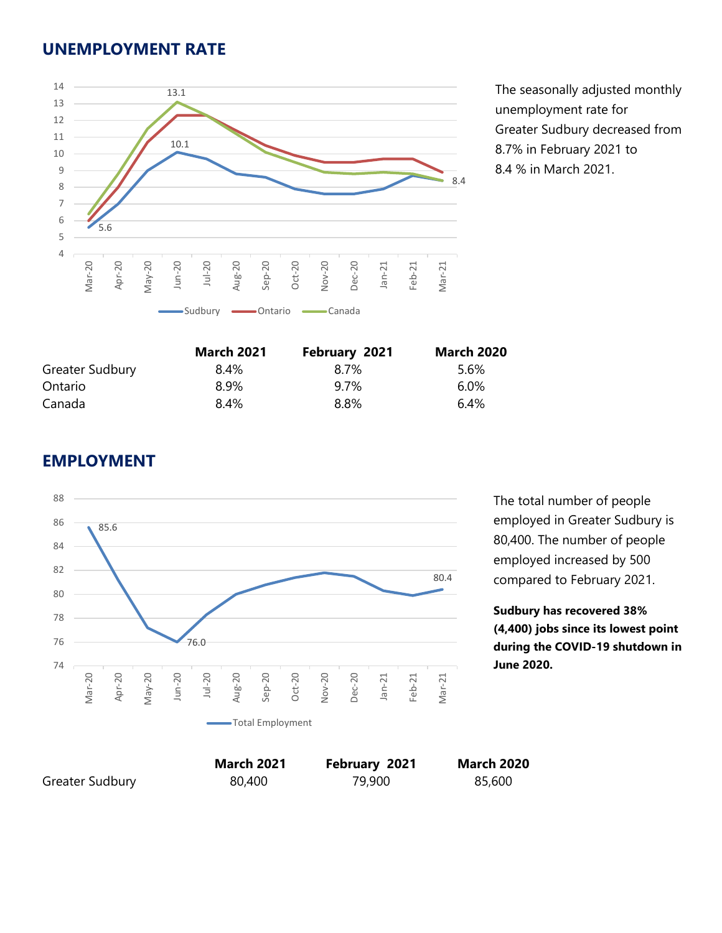#### **UNEMPLOYMENT RATE**



The seasonally adjusted monthly unemployment rate for Greater Sudbury decreased from 8.7% in February 2021 to 8.4 % in March 2021.

|                 | <b>March 2021</b> | February 2021 | <b>March 2020</b> |
|-----------------|-------------------|---------------|-------------------|
| Greater Sudbury | 8.4%              | 8.7%          | 5.6%              |
| Ontario         | 8.9%              | 9.7%          | $6.0\%$           |
| Canada          | 8.4%              | 8.8%          | 6.4%              |

# **EMPLOYMENT**



The total number of people employed in Greater Sudbury is 80,400. The number of people employed increased by 500 compared to February 2021.

**Sudbury has recovered 38% (4,400) jobs since its lowest point during the COVID-19 shutdown in June 2020.** 

Greater Sudbury 80,400 79,900 85,600

**March 2021 February 2021 March 2020**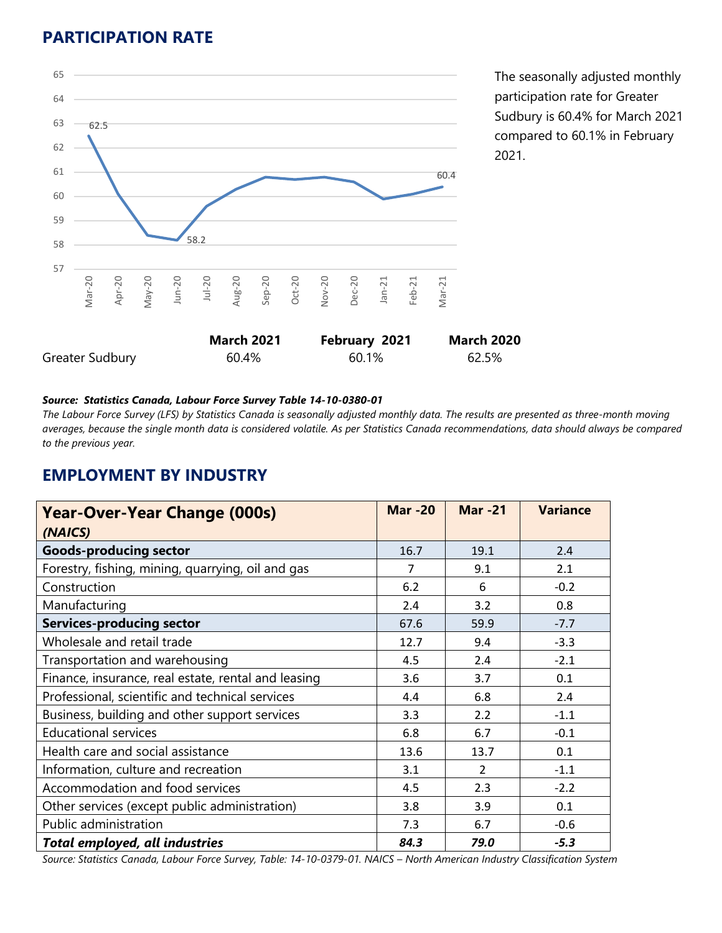# **PARTICIPATION RATE**



The seasonally adjusted monthly participation rate for Greater Sudbury is 60.4% for March 2021 compared to 60.1% in February 2021.

#### *Source: Statistics Canada, Labour Force Survey Table 14-10-0380-01*

*The Labour Force Survey (LFS) by Statistics Canada is seasonally adjusted monthly data. The results are presented as three-month moving averages, because the single month data is considered volatile. As per Statistics Canada recommendations, data should always be compared to the previous year.* 

#### **EMPLOYMENT BY INDUSTRY**

| <b>Year-Over-Year Change (000s)</b><br>(NAICS)      | <b>Mar-20</b> | <b>Mar-21</b> | <b>Variance</b> |
|-----------------------------------------------------|---------------|---------------|-----------------|
| <b>Goods-producing sector</b>                       | 16.7          | 19.1          | 2.4             |
| Forestry, fishing, mining, quarrying, oil and gas   | 7             | 9.1           | 2.1             |
| Construction                                        | 6.2           | 6             | $-0.2$          |
| Manufacturing                                       | 2.4           | 3.2           | 0.8             |
| <b>Services-producing sector</b>                    | 67.6          | 59.9          | $-7.7$          |
| Wholesale and retail trade                          | 12.7          | 9.4           | $-3.3$          |
| Transportation and warehousing                      | 4.5           | 2.4           | $-2.1$          |
| Finance, insurance, real estate, rental and leasing | 3.6           | 3.7           | 0.1             |
| Professional, scientific and technical services     | 4.4           | 6.8           | 2.4             |
| Business, building and other support services       | 3.3           | 2.2           | $-1.1$          |
| <b>Educational services</b>                         | 6.8           | 6.7           | $-0.1$          |
| Health care and social assistance                   | 13.6          | 13.7          | 0.1             |
| Information, culture and recreation                 | 3.1           | 2             | $-1.1$          |
| Accommodation and food services                     | 4.5           | 2.3           | $-2.2$          |
| Other services (except public administration)       | 3.8           | 3.9           | 0.1             |
| Public administration                               | 7.3           | 6.7           | $-0.6$          |
| <b>Total employed, all industries</b>               | 84.3          | 79.0          | $-5.3$          |

*Source: Statistics Canada, Labour Force Survey, Table: 14-10-0379-01. NAICS – North American Industry Classification System*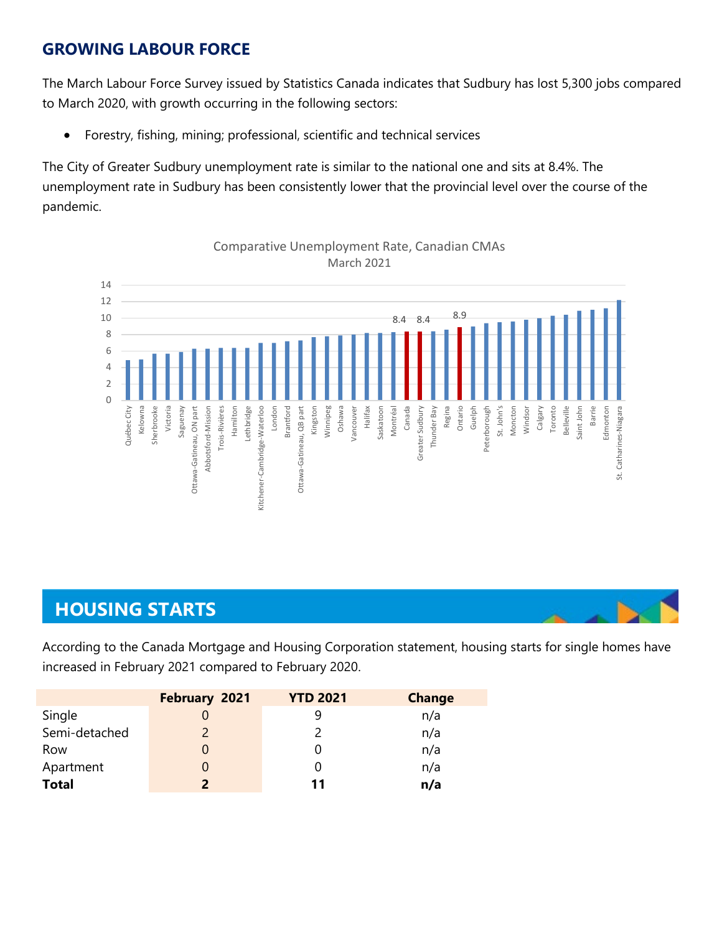# **GROWING LABOUR FORCE**

The March Labour Force Survey issued by Statistics Canada indicates that Sudbury has lost 5,300 jobs compared to March 2020, with growth occurring in the following sectors:

• Forestry, fishing, mining; professional, scientific and technical services

The City of Greater Sudbury unemployment rate is similar to the national one and sits at 8.4%. The unemployment rate in Sudbury has been consistently lower that the provincial level over the course of the pandemic.



#### Comparative Unemployment Rate, Canadian CMAs March 2021

# **HOUSING STARTS**

According to the Canada Mortgage and Housing Corporation statement, housing starts for single homes have increased in February 2021 compared to February 2020.

|               | February 2021 | <b>YTD 2021</b> | <b>Change</b> |
|---------------|---------------|-----------------|---------------|
| Single        |               |                 | n/a           |
| Semi-detached |               |                 | n/a           |
| Row           |               |                 | n/a           |
| Apartment     |               |                 | n/a           |
| <b>Total</b>  | $\mathbf{z}$  | 11              | n/a           |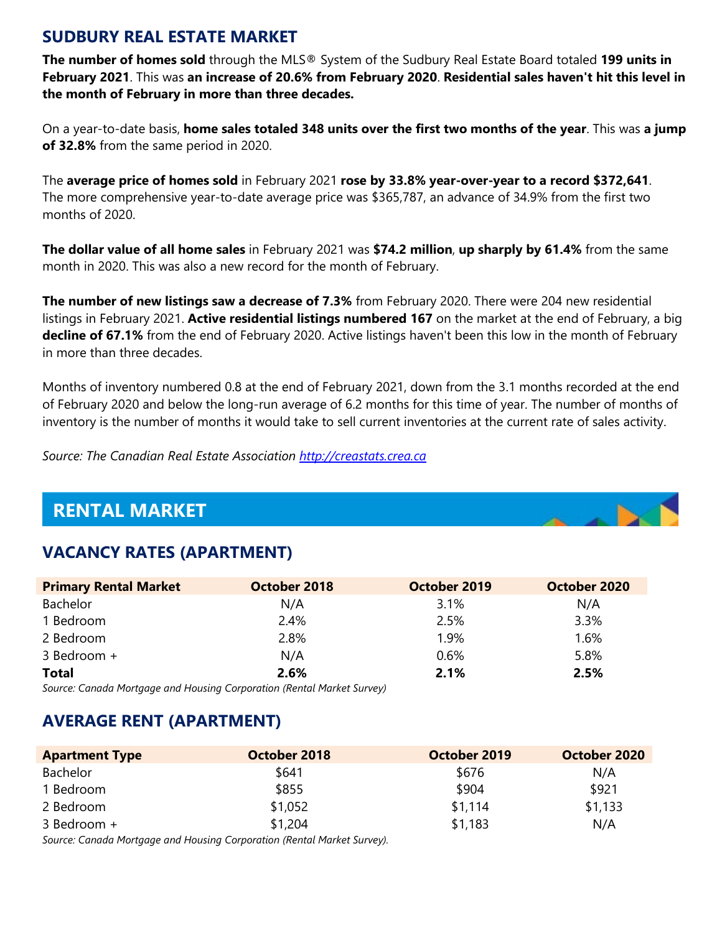## **SUDBURY REAL ESTATE MARKET**

**The number of homes sold** through the MLS® System of the Sudbury Real Estate Board totaled **199 units in February 2021**. This was **an increase of 20.6% from February 2020**. **Residential sales haven't hit this level in the month of February in more than three decades.**

On a year-to-date basis, **home sales totaled 348 units over the first two months of the year**. This was **a jump of 32.8%** from the same period in 2020.

The **average price of homes sold** in February 2021 **rose by 33.8% year-over-year to a record \$372,641**. The more comprehensive year-to-date average price was \$365,787, an advance of 34.9% from the first two months of 2020.

**The dollar value of all home sales** in February 2021 was **\$74.2 million**, **up sharply by 61.4%** from the same month in 2020. This was also a new record for the month of February.

**The number of new listings saw a decrease of 7.3%** from February 2020. There were 204 new residential listings in February 2021. **Active residential listings numbered 167** on the market at the end of February, a big **decline of 67.1%** from the end of February 2020. Active listings haven't been this low in the month of February in more than three decades.

Months of inventory numbered 0.8 at the end of February 2021, down from the 3.1 months recorded at the end of February 2020 and below the long-run average of 6.2 months for this time of year. The number of months of inventory is the number of months it would take to sell current inventories at the current rate of sales activity.

*Source: The Canadian Real Estate Association [http://creastats.crea.ca](http://creastats.crea.ca/sudb/)*

# **RENTAL MARKET**

# **VACANCY RATES (APARTMENT)**

| <b>Primary Rental Market</b> | October 2018 | October 2019 | October 2020 |
|------------------------------|--------------|--------------|--------------|
| Bachelor                     | N/A          | 3.1%         | N/A          |
| 1 Bedroom                    | 2.4%         | 2.5%         | 3.3%         |
| 2 Bedroom                    | 2.8%         | 1.9%         | 1.6%         |
| 3 Bedroom +                  | N/A          | 0.6%         | 5.8%         |
| <b>Total</b>                 | 2.6%         | 2.1%         | 2.5%         |

*Source: Canada Mortgage and Housing Corporation (Rental Market Survey)*

# **AVERAGE RENT (APARTMENT)**

| <b>Apartment Type</b> | October 2018 | October 2019 | October 2020 |
|-----------------------|--------------|--------------|--------------|
| Bachelor              | \$641        | \$676        | N/A          |
| 1 Bedroom             | \$855        | \$904        | \$921        |
| 2 Bedroom             | \$1,052      | \$1,114      | \$1,133      |
| 3 Bedroom +           | \$1,204      | \$1,183      | N/A          |

*Source: Canada Mortgage and Housing Corporation (Rental Market Survey).*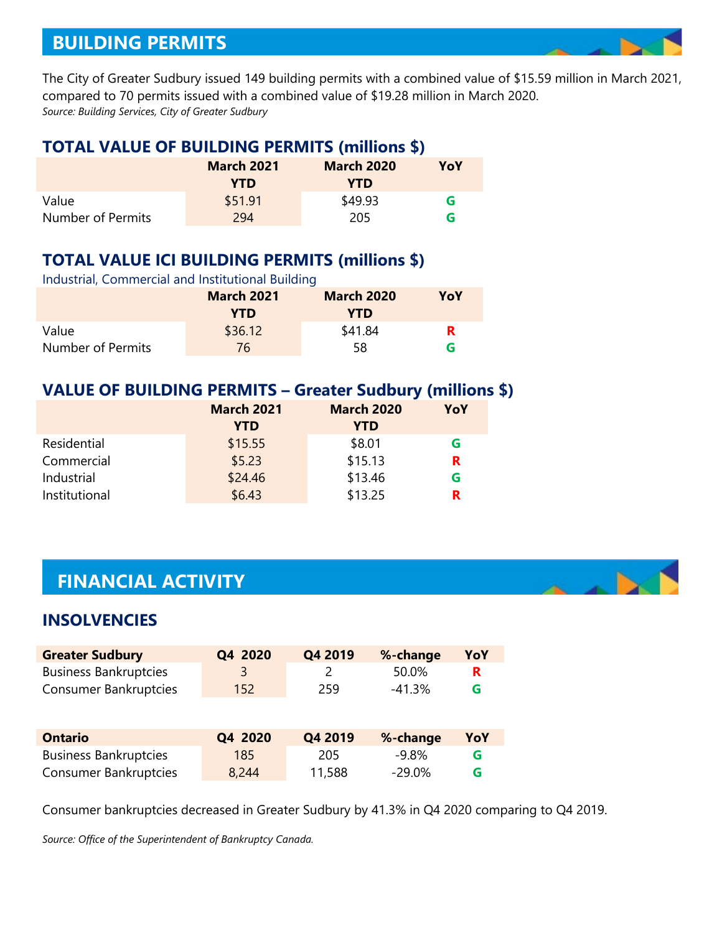# **BUILDING PERMITS**

The City of Greater Sudbury issued 149 building permits with a combined value of \$15.59 million in March 2021, compared to 70 permits issued with a combined value of \$19.28 million in March 2020. *Source: Building Services, City of Greater Sudbury*

#### **TOTAL VALUE OF BUILDING PERMITS (millions \$)**

|                   | <b>March 2021</b><br><b>YTD</b> | <b>March 2020</b><br>YTD | YoY |
|-------------------|---------------------------------|--------------------------|-----|
| Value             | \$51.91                         | \$49.93                  | G   |
| Number of Permits | 294                             | 205                      | G   |

# **TOTAL VALUE ICI BUILDING PERMITS (millions \$)**

| Industrial, Commercial and Institutional Building |                   |                   |     |  |  |
|---------------------------------------------------|-------------------|-------------------|-----|--|--|
|                                                   | <b>March 2021</b> | <b>March 2020</b> | YoY |  |  |
|                                                   | <b>YTD</b>        | YTD               |     |  |  |
| Value                                             | \$36.12           | \$41.84           | R.  |  |  |
| Number of Permits                                 | 76                | 58                | G   |  |  |

#### **VALUE OF BUILDING PERMITS – Greater Sudbury (millions \$)**

|               | <b>March 2021</b> | <b>March 2020</b> | YoY |
|---------------|-------------------|-------------------|-----|
|               | <b>YTD</b>        | <b>YTD</b>        |     |
| Residential   | \$15.55           | \$8.01            | G   |
| Commercial    | \$5.23            | \$15.13           | R   |
| Industrial    | \$24.46           | \$13.46           | G   |
| Institutional | \$6.43            | \$13.25           | R   |

# **FINANCIAL ACTIVITY**

## **INSOLVENCIES**

| <b>Greater Sudbury</b>       | Q4 2020          | Q4 2019 | %-change | YoY |
|------------------------------|------------------|---------|----------|-----|
| <b>Business Bankruptcies</b> |                  |         | 50.0%    |     |
| Consumer Bankruptcies        | 152 <sub>1</sub> | 259     | -41.3%   | G   |

| <b>Ontario</b>               | Q4 2020 | Q4 2019 | %-change | YoY |
|------------------------------|---------|---------|----------|-----|
| <b>Business Bankruptcies</b> | 185     | 205     | -9.8%    |     |
| <b>Consumer Bankruptcies</b> | 8,244   | 11,588  | -29.0%   |     |

Consumer bankruptcies decreased in Greater Sudbury by 41.3% in Q4 2020 comparing to Q4 2019.

*Source: Office of the Superintendent of Bankruptcy Canada.*